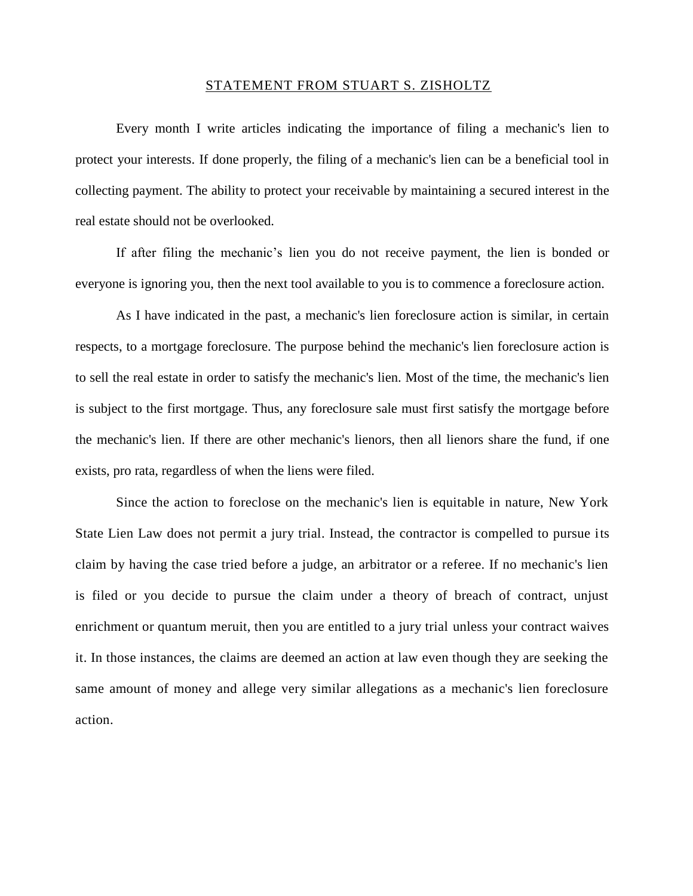## STATEMENT FROM STUART S. ZISHOLTZ

Every month I write articles indicating the importance of filing a mechanic's lien to protect your interests. If done properly, the filing of a mechanic's lien can be a beneficial tool in collecting payment. The ability to protect your receivable by maintaining a secured interest in the real estate should not be overlooked.

If after filing the mechanic's lien you do not receive payment, the lien is bonded or everyone is ignoring you, then the next tool available to you is to commence a foreclosure action.

As I have indicated in the past, a mechanic's lien foreclosure action is similar, in certain respects, to a mortgage foreclosure. The purpose behind the mechanic's lien foreclosure action is to sell the real estate in order to satisfy the mechanic's lien. Most of the time, the mechanic's lien is subject to the first mortgage. Thus, any foreclosure sale must first satisfy the mortgage before the mechanic's lien. If there are other mechanic's lienors, then all lienors share the fund, if one exists, pro rata, regardless of when the liens were filed.

Since the action to foreclose on the mechanic's lien is equitable in nature, New York State Lien Law does not permit a jury trial. Instead, the contractor is compelled to pursue its claim by having the case tried before a judge, an arbitrator or a referee. If no mechanic's lien is filed or you decide to pursue the claim under a theory of breach of contract, unjust enrichment or quantum meruit, then you are entitled to a jury trial unless your contract waives it. In those instances, the claims are deemed an action at law even though they are seeking the same amount of money and allege very similar allegations as a mechanic's lien foreclosure action.